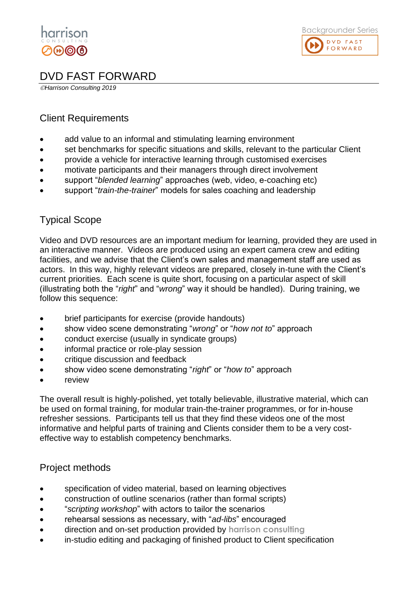



## DVD FAST FORWARD

©*Harrison Consulting 2019*

#### Client Requirements

- add value to an informal and stimulating learning environment
- set benchmarks for specific situations and skills, relevant to the particular Client
- provide a vehicle for interactive learning through customised exercises
- motivate participants and their managers through direct involvement
- support "*blended learning*" approaches (web, video, e-coaching etc)
- support "*train-the-trainer*" models for sales coaching and leadership

### Typical Scope

Video and DVD resources are an important medium for learning, provided they are used in an interactive manner. Videos are produced using an expert camera crew and editing facilities, and we advise that the Client's own sales and management staff are used as actors. In this way, highly relevant videos are prepared, closely in-tune with the Client's current priorities. Each scene is quite short, focusing on a particular aspect of skill (illustrating both the "*right*" and "*wrong*" way it should be handled). During training, we follow this sequence:

- brief participants for exercise (provide handouts)
- show video scene demonstrating "*wrong*" or "*how not to*" approach
- conduct exercise (usually in syndicate groups)
- informal practice or role-play session
- critique discussion and feedback
- show video scene demonstrating "*right*" or "*how to*" approach
- **review**

The overall result is highly-polished, yet totally believable, illustrative material, which can be used on formal training, for modular train-the-trainer programmes, or for in-house refresher sessions. Participants tell us that they find these videos one of the most informative and helpful parts of training and Clients consider them to be a very costeffective way to establish competency benchmarks.

#### Project methods

- specification of video material, based on learning objectives
- construction of outline scenarios (rather than formal scripts)
- "*scripting workshop*" with actors to tailor the scenarios
- rehearsal sessions as necessary, with "*ad-libs*" encouraged
- direction and on-set production provided by **harrison consulting**
- in-studio editing and packaging of finished product to Client specification